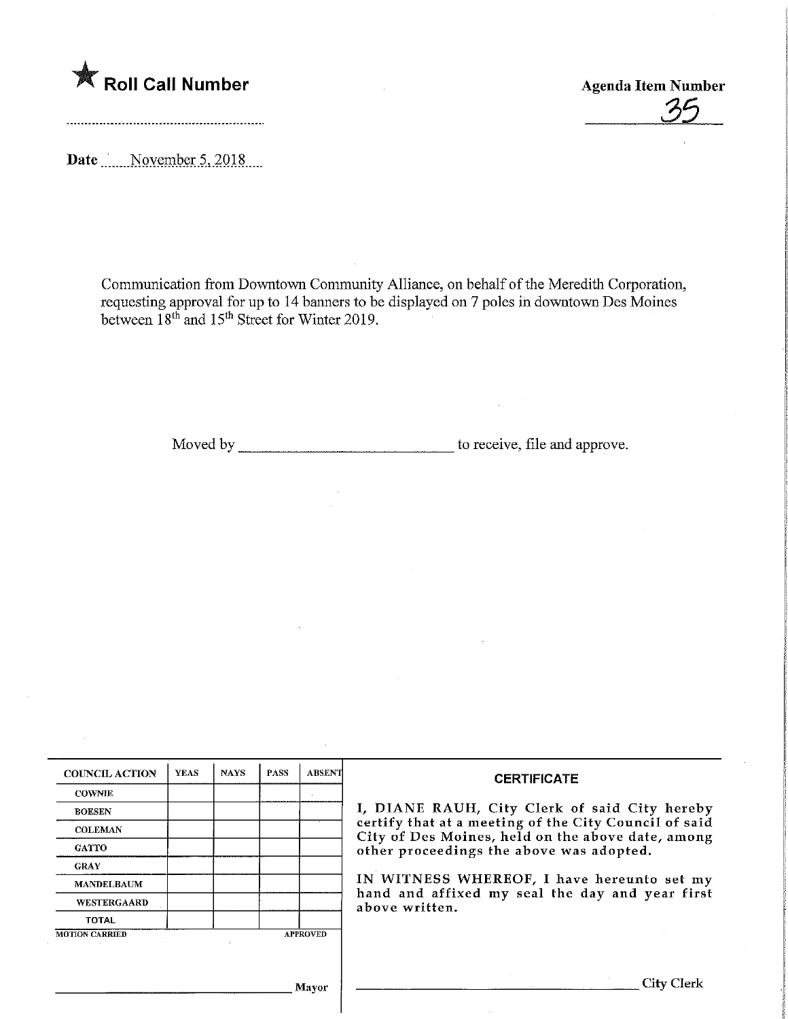

Date November 5, 2018

Communication from Downtown Community Alliance, on behalf of the Meredith Corporation, requesting approval for up to 14 banners to be displayed on 7 poles in downtown Des Moines between 18<sup>th</sup> and 15<sup>th</sup> Street for Winter 2019.

Moved by to receive, file and approve.

| <b>COUNCIL ACTION</b> | <b>YEAS</b> | <b>NAYS</b> | PASS | <b>ABSENT</b>   | <b>CERTIFICATE</b><br>I, DIANE RAUH, City Clerk of said City hereby                                                                                    |  |  |
|-----------------------|-------------|-------------|------|-----------------|--------------------------------------------------------------------------------------------------------------------------------------------------------|--|--|
| <b>COWNIE</b>         |             |             |      |                 |                                                                                                                                                        |  |  |
| <b>BOESEN</b>         |             |             |      |                 |                                                                                                                                                        |  |  |
| <b>COLEMAN</b>        |             |             |      |                 | certify that at a meeting of the City Council of said<br>City of Des Moines, held on the above date, among<br>other proceedings the above was adopted. |  |  |
| <b>GATTO</b>          |             |             |      |                 |                                                                                                                                                        |  |  |
| <b>GRAY</b>           |             |             |      |                 |                                                                                                                                                        |  |  |
| <b>MANDELBAUM</b>     |             |             |      |                 | IN WITNESS WHEREOF, I have hereunto set my<br>hand and affixed my seal the day and year first<br>above written.                                        |  |  |
| <b>WESTERGAARD</b>    |             |             |      |                 |                                                                                                                                                        |  |  |
| <b>TOTAL</b>          |             |             |      |                 |                                                                                                                                                        |  |  |
| <b>MOTION CARRIED</b> |             |             |      | <b>APPROVED</b> |                                                                                                                                                        |  |  |
|                       |             |             |      |                 |                                                                                                                                                        |  |  |
|                       |             |             |      |                 |                                                                                                                                                        |  |  |
| Mayor                 |             |             |      |                 | City Clerl                                                                                                                                             |  |  |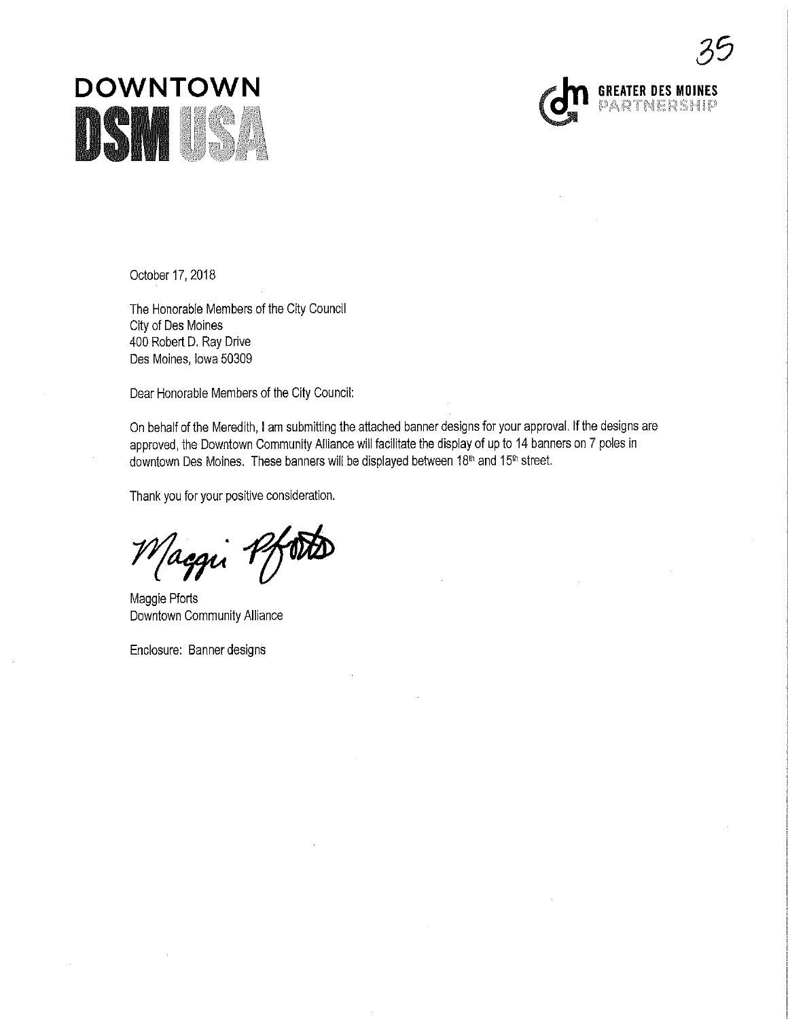



October 17, 2018

The Honorable Members of the City Council City of Des Moines 400 Robert D. Ray Drive Des Moines, lowa 50309

Dear Honorable Members of the City Councii:

On behalf of the Meredith, I am submitting the attached banner designs for your approval. If the designs are approved, the Downtown Community Alliance will facilitate the display of up to 14 banners on 7 poles in downtown Des Moines. These banners will be displayed between 18<sup>th</sup> and 15<sup>th</sup> street.

Thank you for your positive consideration.

*Maggi* 7

Downtown Community Alliance

Enclosure: Banner designs